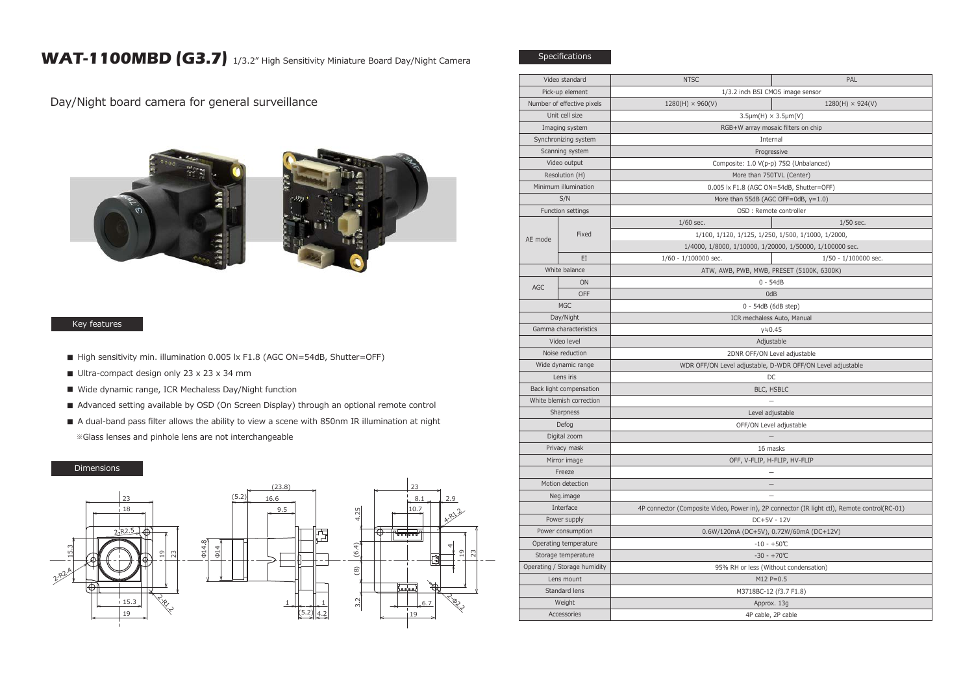## WAT-1100MBD (G3.7) 1/3.2" High Sensitivity Miniature Board Day/Night Camera

Day/Night board camera for general surveillance





## Key features

- High sensitivity min. illumination 0.005 lx F1.8 (AGC ON=54dB, Shutter=OFF)
- Ultra-compact design only 23 x 23 x 34 mm
- Wide dynamic range, ICR Mechaless Day/Night function
- Advanced setting available by OSD (On Screen Display) through an optional remote control
- A dual-band pass filter allows the ability to view a scene with 850nm IR illumination at night ※Glass lenses and pinhole lens are not interchangeable

## Dimensions



| Video standard               |           | <b>NTSC</b>                                                                                  | PAL                     |
|------------------------------|-----------|----------------------------------------------------------------------------------------------|-------------------------|
| Pick-up element              |           | 1/3.2 inch BSI CMOS image sensor                                                             |                         |
| Number of effective pixels   |           | $1280(H) \times 960(V)$                                                                      | $1280(H) \times 924(V)$ |
| Unit cell size               |           | $3.5 \mu m(H) \times 3.5 \mu m(V)$                                                           |                         |
| Imaging system               |           | RGB+W array mosaic filters on chip                                                           |                         |
| Synchronizing system         |           | Internal                                                                                     |                         |
| Scanning system              |           | Progressive                                                                                  |                         |
| Video output                 |           | Composite: 1.0 V(p-p) 75Ω (Unbalanced)                                                       |                         |
| Resolution (H)               |           | More than 750TVL (Center)                                                                    |                         |
| Minimum illumination         |           | 0.005 lx F1.8 (AGC ON=54dB, Shutter=OFF)                                                     |                         |
| S/N                          |           | More than 55dB (AGC OFF=0dB, y=1.0)                                                          |                         |
| Function settings            |           | OSD : Remote controller                                                                      |                         |
| AE mode                      | Fixed     | $1/60$ sec.                                                                                  | $1/50$ sec.             |
|                              |           | 1/100, 1/120, 1/125, 1/250, 1/500, 1/1000, 1/2000,                                           |                         |
|                              |           | 1/4000, 1/8000, 1/10000, 1/20000, 1/50000, 1/100000 sec.                                     |                         |
|                              | EI        | $1/60 - 1/100000$ sec.                                                                       | 1/50 - 1/100000 sec.    |
| White balance                |           | ATW, AWB, PWB, MWB, PRESET (5100K, 6300K)                                                    |                         |
| AGC                          | <b>ON</b> | $0 - 54dB$                                                                                   |                         |
|                              | OFF       | 0dB                                                                                          |                         |
| <b>MGC</b>                   |           | 0 - 54dB (6dB step)                                                                          |                         |
| Day/Night                    |           | ICR mechaless Auto, Manual                                                                   |                         |
| Gamma characteristics        |           | $y = 0.45$                                                                                   |                         |
| Video level                  |           | Adjustable                                                                                   |                         |
| Noise reduction              |           | 2DNR OFF/ON Level adjustable                                                                 |                         |
| Wide dynamic range           |           | WDR OFF/ON Level adjustable, D-WDR OFF/ON Level adjustable                                   |                         |
| Lens iris                    |           | DC                                                                                           |                         |
| Back light compensation      |           | BLC, HSBLC                                                                                   |                         |
| White blemish correction     |           |                                                                                              |                         |
| Sharpness                    |           | Level adjustable                                                                             |                         |
| Defog                        |           | OFF/ON Level adjustable                                                                      |                         |
| Digital zoom                 |           |                                                                                              |                         |
| Privacy mask                 |           | 16 masks                                                                                     |                         |
| Mirror image                 |           | OFF, V-FLIP, H-FLIP, HV-FLIP                                                                 |                         |
| Freeze                       |           |                                                                                              |                         |
| Motion detection             |           | $\overline{\phantom{0}}$                                                                     |                         |
| Neg.image                    |           |                                                                                              |                         |
| Interface                    |           | 4P connector (Composite Video, Power in), 2P connector (IR light ctl), Remote control(RC-01) |                         |
| Power supply                 |           | DC+5V - 12V                                                                                  |                         |
| Power consumption            |           | 0.6W/120mA (DC+5V), 0.72W/60mA (DC+12V)                                                      |                         |
| Operating temperature        |           | $-10 - +50$ °C                                                                               |                         |
| Storage temperature          |           | $-30 - +70$ °C                                                                               |                         |
| Operating / Storage humidity |           | 95% RH or less (Without condensation)                                                        |                         |
| Lens mount                   |           | $M12 P=0.5$                                                                                  |                         |
| Standard lens                |           | M3718BC-12 (f3.7 F1.8)                                                                       |                         |
| Weight                       |           | Approx. 13g                                                                                  |                         |
| Accessories                  |           | 4P cable, 2P cable                                                                           |                         |

Specifications